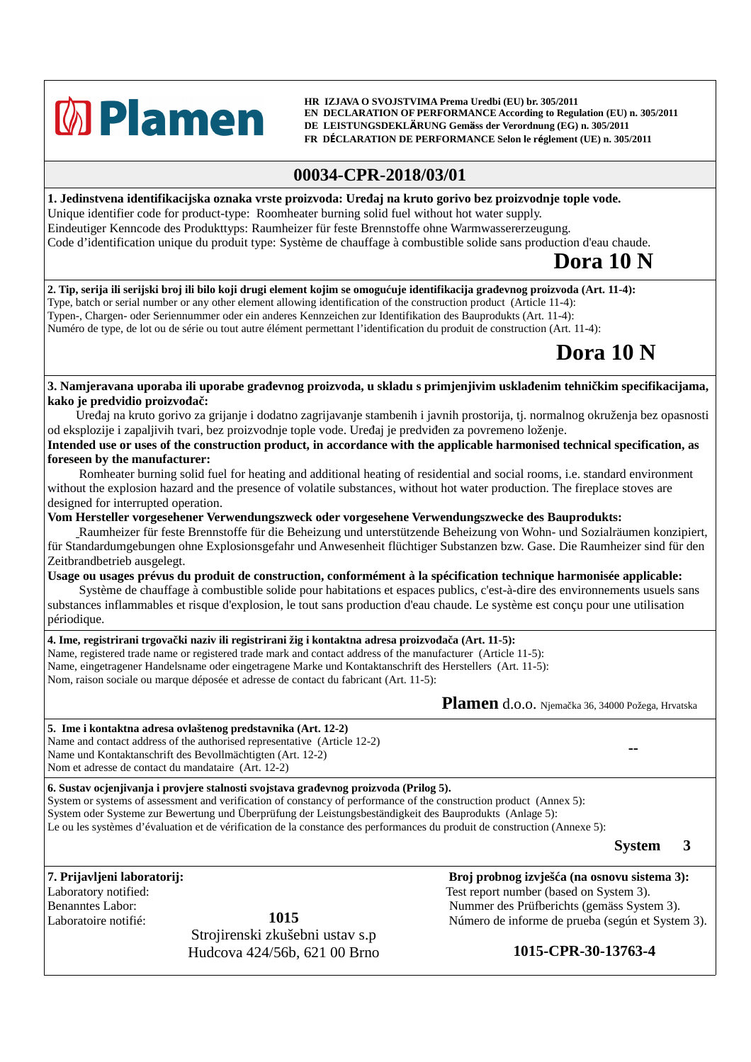## **M** Plamen

 **HR IZJAVA O SVOJSTVIMA Prema Uredbi (EU) br. 305/2011 EN DECLARATION OF PERFORMANCE According to Regulation (EU) n. 305/2011 DE LEISTUNGSDEKLÄRUNG Gemäss der Verordnung (EG) n. 305/2011 FR DÉCLARATION DE PERFORMANCE Selon le réglement (UE) n. 305/2011**

## **00034-CPR-2018/03/01**

**1. Jedinstvena identifikacijska oznaka vrste proizvoda: Uređaj na kruto gorivo bez proizvodnje tople vode.** Unique identifier code for product-type: Roomheater burning solid fuel without hot water supply. Eindeutiger Kenncode des Produkttyps: Raumheizer für feste Brennstoffe ohne Warmwassererzeugung. Code d'identification unique du produit type: Système de chauffage à combustible solide sans production d'eau chaude.

## **Dora 10 N**

**2. Tip, serija ili serijski broj ili bilo koji drugi element kojim se omogućuje identifikacija građevnog proizvoda (Art. 11-4):** Type, batch or serial number or any other element allowing identification of the construction product (Article 11-4): Typen-, Chargen- oder Seriennummer oder ein anderes Kennzeichen zur Identifikation des Bauprodukts (Art. 11-4): Numéro de type, de lot ou de série ou tout autre élément permettant l'identification du produit de construction (Art. 11-4):

## **Dora 10 N**

**3. Namjeravana uporaba ili uporabe građevnog proizvoda, u skladu s primjenjivim usklađenim tehničkim specifikacijama, kako je predvidio proizvođač:**

Uređaj na kruto gorivo za grijanje i dodatno zagrijavanje stambenih i javnih prostorija, tj. normalnog okruženja bez opasnosti od eksplozije i zapaljivih tvari, bez proizvodnje tople vode. Uređaj je predviđen za povremeno loženje.

**Intended use or uses of the construction product, in accordance with the applicable harmonised technical specification, as foreseen by the manufacturer:**

 Romheater burning solid fuel for heating and additional heating of residential and social rooms, i.e. standard environment without the explosion hazard and the presence of volatile substances, without hot water production. The fireplace stoves are designed for interrupted operation.

**Vom Hersteller vorgesehener Verwendungszweck oder vorgesehene Verwendungszwecke des Bauprodukts:**

 Raumheizer für feste Brennstoffe für die Beheizung und unterstützende Beheizung von Wohn- und Sozialräumen konzipiert, für Standardumgebungen ohne Explosionsgefahr und Anwesenheit flüchtiger Substanzen bzw. Gase. Die Raumheizer sind für den Zeitbrandbetrieb ausgelegt.

**Usage ou usages prévus du produit de construction, conformément à la spécification technique harmonisée applicable:**

 Système de chauffage à combustible solide pour habitations et espaces publics, c'est-à-dire des environnements usuels sans substances inflammables et risque d'explosion, le tout sans production d'eau chaude. Le système est conçu pour une utilisation périodique.

**4. Ime, registrirani trgovački naziv ili registrirani žig i kontaktna adresa proizvođača (Art. 11-5):** Name, registered trade name or registered trade mark and contact address of the manufacturer (Article 11-5): Name, eingetragener Handelsname oder eingetragene Marke und Kontaktanschrift des Herstellers (Art. 11-5): Nom, raison sociale ou marque déposée et adresse de contact du fabricant (Art. 11-5):

**Plamen** d.o.o. Njemačka 36, 34000 Požega, Hrvatska

**5. Ime i kontaktna adresa ovlaštenog predstavnika (Art. 12-2)** Name and contact address of the authorised representative (Article 12-2) Name und Kontaktanschrift des Bevollmächtigten (Art. 12-2) Nom et adresse de contact du mandataire (Art. 12-2)

**6. Sustav ocjenjivanja i provjere stalnosti svojstava građevnog proizvoda (Prilog 5).**

System or systems of assessment and verification of constancy of performance of the construction product (Annex 5): System oder Systeme zur Bewertung und Überprüfung der Leistungsbeständigkeit des Bauprodukts (Anlage 5): Le ou les systèmes d'évaluation et de vérification de la constance des performances du produit de construction (Annexe 5):

**System 3**

**--**

**1015** Strojirenski zkušebni ustav s.p Hudcova 424/56b, 621 00 Brno **1015-CPR-30-13763-4**

**7. Prijavljeni laboratorij: Broj probnog izvješća (na osnovu sistema 3):** Laboratory notified: Test report number (based on System 3). Benanntes Labor: Nummer des Prüfberichts (gemäss System 3). Laboratoire notifié:  $1015$   $1015$  Número de informe de prueba (según et System 3).